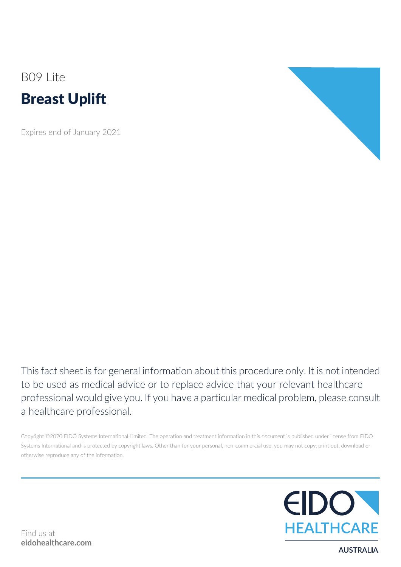# B09 Lite Breast Uplift

Expires end of January 2021



This fact sheet is for general information about this procedure only. It is not intended to be used as medical advice or to replace advice that your relevant healthcare professional would give you. If you have a particular medical problem, please consult a healthcare professional.

Copyright ©2020 EIDO Systems International Limited. The operation and treatment information in this document is published under license from EIDO Systems International and is protected by copyright laws. Other than for your personal, non-commercial use, you may not copy, print out, download or otherwise reproduce any of the information.



**AUSTRALIA**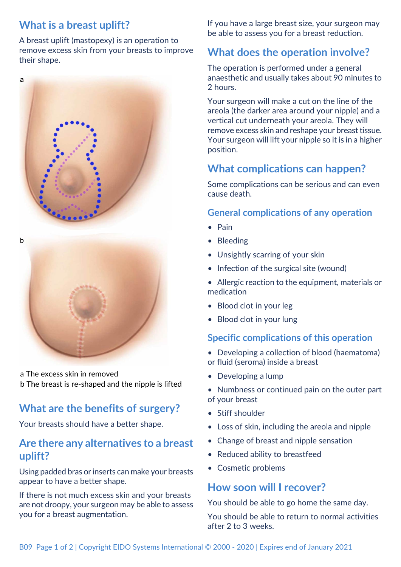## **What is a breast uplift?**

a

A breast uplift (mastopexy) is an operation to remove excess skin from your breasts to improve their shape.

a The excess skin in removed b The breast is re-shaped and the nipple is lifted

## **What are the benefits of surgery?**

Your breasts should have a better shape.

### **Are there any alternatives to a breast uplift?**

Using padded bras or inserts can make your breasts appear to have a better shape.

If there is not much excess skin and your breasts are not droopy, your surgeon may be able to assess you for a breast augmentation.

If you have a large breast size, your surgeon may be able to assess you for a breast reduction.

## **What does the operation involve?**

The operation is performed under a general anaesthetic and usually takes about 90 minutes to 2 hours.

Your surgeon will make a cut on the line of the areola (the darker area around your nipple) and a vertical cut underneath your areola. They will remove excess skin and reshape your breast tissue. Your surgeon will lift your nipple so it is in a higher position.

## **What complications can happen?**

Some complications can be serious and can even cause death.

#### **General complications of any operation**

- Pain
- Bleeding
- Unsightly scarring of your skin
- Infection of the surgical site (wound)
- Allergic reaction to the equipment, materials or medication
- Blood clot in your leg
- Blood clot in your lung

#### **Specific complications of this operation**

- Developing a collection of blood (haematoma) or fluid (seroma) inside a breast
- Developing a lump
- Numbness or continued pain on the outer part of your breast
- Stiff shoulder
- Loss of skin, including the areola and nipple
- Change of breast and nipple sensation
- Reduced ability to breastfeed
- Cosmetic problems

### **How soon will I recover?**

You should be able to go home the same day. You should be able to return to normal activities after 2 to 3 weeks.